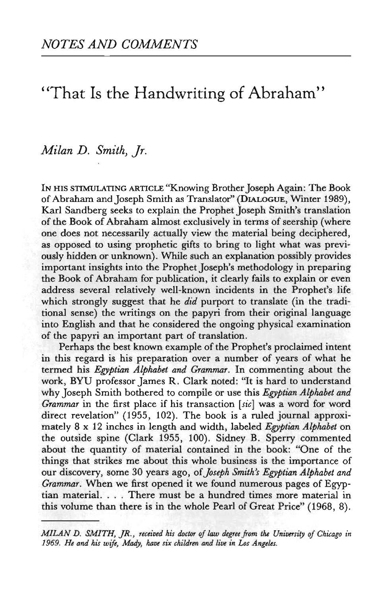## 'That Is the Handwriting of Abraham"

## *Milan D. Smith, Jr.*

IN HIS STIMULATING ARTICLE "Knowing Brother Joseph Again: The Book of Abraham and Joseph Smith as Translator" (DIALOGUE, Winter 1989), Karl Sandberg seeks to explain the Prophet Joseph Smith's translation of the Book of Abraham almost exclusively in terms of seership (where one does not necessarily actually view the material being deciphered, as opposed to using prophetic gifts to bring to light what was previously hidden or unknown). While such an explanation possibly provides important insights into the Prophet Joseph's methodology in preparing the Book of Abraham for publication, it clearly fails to explain or even address several relatively well-known incidents in the Prophet's life which strongly suggest that he *did* purport to translate (in the traditional sense) the writings on the papyri from their original language into English and that he considered the ongoing physical examination of the papyri an important part of translation.

Perhaps the best known example of the Prophet's proclaimed intent in this regard is his preparation over a number of years of what he termed his *Egyptian Alphabet and Grammar.* In commenting about the work, BYU professor James R. Clark noted: "It is hard to understand why Joseph Smith bothered to compile or use this *Egyptian Alphabet and Grammar* in the first place if his transaction *[sic]* was a word for word direct revelation" (1955, 102). The book is a ruled journal approximately 8x1 2 inches in length and width, labeled *Egyptian Alphabet* on the outside spine (Clark 1955, 100). Sidney B. Sperry commented about the quantity of material contained in the book: "One of the things that strikes me about this whole business is the importance of our discovery, some 30 years ago, *of Joseph Smith's Egyptian Alphabet and Grammar.* When we first opened it we found numerous pages of Egyptian material. . . . There must be a hundred times more material in this volume than there is in the whole Pearl of Great Price" (1968, 8).

*MILAN D. SMITH, JR., received his doctor of law degree from the University of Chicago in 1969. He and his wife, Mady, have six children and live in Los Angeles.*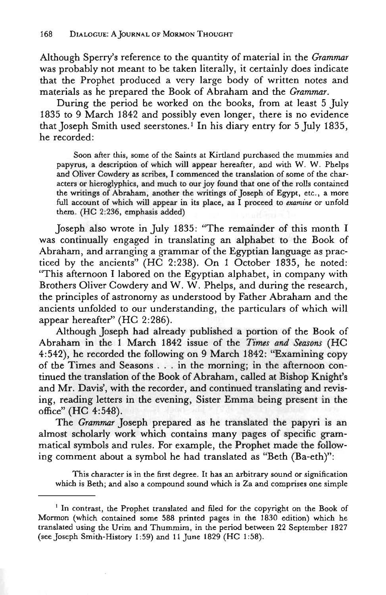Although Sperry's reference to the quantity of material in the *Grammar* was probably not meant to be taken literally, it certainly does indicate that the Prophet produced a very large body of written notes and materials as he prepared the Book of Abraham and the *Grammar.*

During the period he worked on the books, from at least 5 July 1835 to 9 March 1842 and possibly even longer, there is no evidence that Joseph Smith used seerstones.<sup>1</sup> In his diary entry for 5 July 1835, he recorded:

Soon after this, some of the Saints at Kirtland purchased the mummies and papyrus, a description of which will appear hereafter, and with W. W. Phelps and Oliver Cowdery as scribes, I commenced the translation of some of the characters or hieroglyphics, and much to our joy found that one of the rolls contained the writings of Abraham, another the writings of Joseph of Egypt, etc., a more full account of which will appear in its place, as I proceed to *examine* or unfold them. (HC 2:236, emphasis added)

Joseph also wrote in July 1835: "The remainder of this month I was continually engaged in translating an alphabet to the Book of Abraham, and arranging a grammar of the Egyptian language as practiced by the ancients" (HC 2:238). On 1 October 1835, he noted: "This afternoon I labored on the Egyptian alphabet, in company with Brothers Oliver Cowdery and W. W. Phelps, and during the research, the principles of astronomy as understood by Father Abraham and the ancients unfolded to our understanding, the particulars of which will appear hereafter" (HC 2:286).

Although Joseph had already published a portion of the Book of Abraham in the 1 March 1842 issue of the *Times and Seasons* (HC 4:542), he recorded the following on 9 March 1842: "Examining copy of the Times and Seasons .. . in the morning; in the afternoon continued the translation of the Book of Abraham, called at Bishop Knight's and Mr. Davis', with the recorder, and continued translating and revising, reading letters in the evening, Sister Emma being present in the office" (HC 4:548).

The *Grammar* Joseph prepared as he translated the papyri is an almost scholarly work which contains many pages of specific grammatical symbols and rules. For example, the Prophet made the following comment about a symbol he had translated as "Beth (Ba-eth)":

This character is in the first degree. It has an arbitrary sound or signification which is Beth; and also a compound sound which is Za and comprises one simple

<sup>&</sup>lt;sup>1</sup> In contrast, the Prophet translated and filed for the copyright on the Book of Mormon (which contained some 588 printed pages in the 1830 edition) which he translated using the Urim and Thummim, in the period between 22 September 1827 (see Joseph Smith-History 1:59) and 11 June 1829 (HC 1:58).